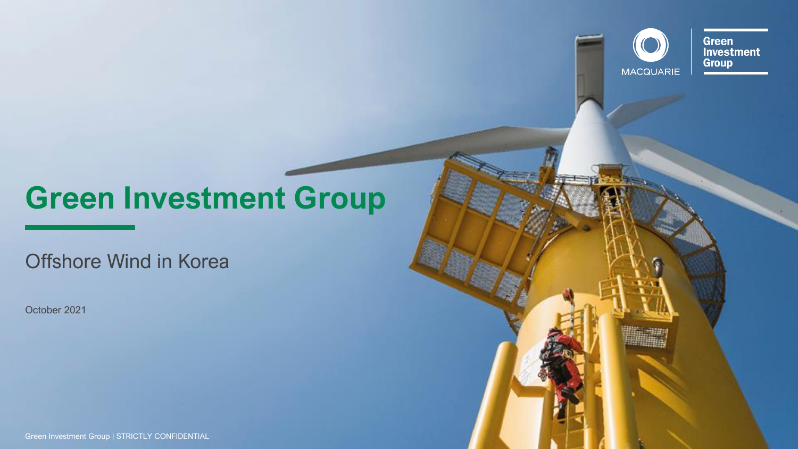# **Green Investment Group**

Offshore Wind in Korea

October 2021

Green Investment Group | STRICTLY CONFIDENTIAL

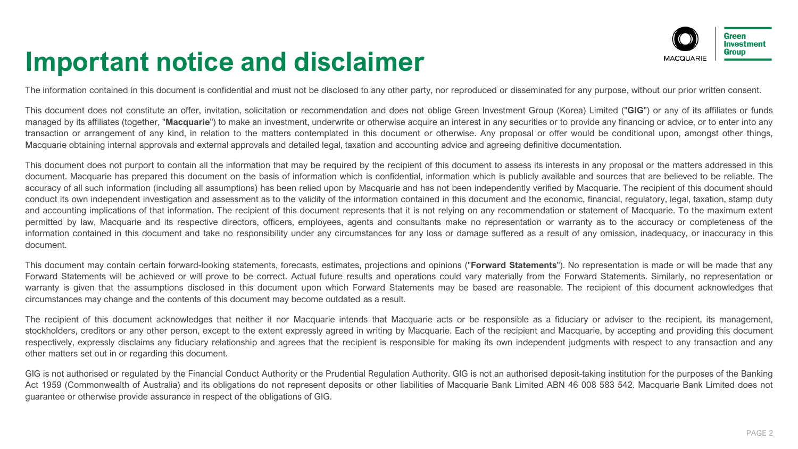#### **Important notice and disclaimer**



The information contained in this document is confidential and must not be disclosed to any other party, nor reproduced or disseminated for any purpose, without our prior written consent.

This document does not constitute an offer, invitation, solicitation or recommendation and does not oblige Green Investment Group (Korea) Limited ("**GIG**") or any of its affiliates or funds managed by its affiliates (together, "Macquarie") to make an investment, underwrite or otherwise acquire an interest in any securities or to provide any financing or advice, or to enter into any transaction or arrangement of any kind, in relation to the matters contemplated in this document or otherwise. Any proposal or offer would be conditional upon, amongst other things, Macquarie obtaining internal approvals and external approvals and detailed legal, taxation and accounting advice and agreeing definitive documentation.

This document does not purport to contain all the information that may be required by the recipient of this document to assess its interests in any proposal or the matters addressed in this document. Macquarie has prepared this document on the basis of information which is confidential, information which is publicly available and sources that are believed to be reliable. The accuracy of all such information (including all assumptions) has been relied upon by Macquarie and has not been independently verified by Macquarie. The recipient of this document should conduct its own independent investigation and assessment as to the validity of the information contained in this document and the economic, financial, requlatory, legal, taxation, stamp duty and accounting implications of that information. The recipient of this document represents that it is not relying on any recommendation or statement of Macquarie. To the maximum extent permitted by law, Macquarie and its respective directors, officers, employees, agents and consultants make no representation or warranty as to the accuracy or completeness of the information contained in this document and take no responsibility under any circumstances for any loss or damage suffered as a result of any omission, inadequacy, or inaccuracy in this document.

This document may contain certain forward-looking statements, forecasts, estimates, projections and opinions ("**Forward Statements**"). No representation is made or will be made that any Forward Statements will be achieved or will prove to be correct. Actual future results and operations could vary materially from the Forward Statements. Similarly, no representation or warranty is given that the assumptions disclosed in this document upon which Forward Statements may be based are reasonable. The recipient of this document acknowledges that circumstances may change and the contents of this document may become outdated as a result.

The recipient of this document acknowledges that neither it nor Macquarie intends that Macquarie acts or be responsible as a fiduciary or adviser to the recipient, its management, stockholders, creditors or any other person, except to the extent expressly agreed in writing by Macquarie. Each of the recipient and Macquarie, by accepting and providing this document respectively, expressly disclaims any fiduciary relationship and agrees that the recipient is responsible for making its own independent judgments with respect to any transaction and any other matters set out in or regarding this document.

GIG is not authorised or regulated by the Financial Conduct Authority or the Prudential Regulation Authority. GIG is not an authorised deposit-taking institution for the purposes of the Banking Act 1959 (Commonwealth of Australia) and its obligations do not represent deposits or other liabilities of Macquarie Bank Limited ABN 46 008 583 542. Macquarie Bank Limited does not guarantee or otherwise provide assurance in respect of the obligations of GIG.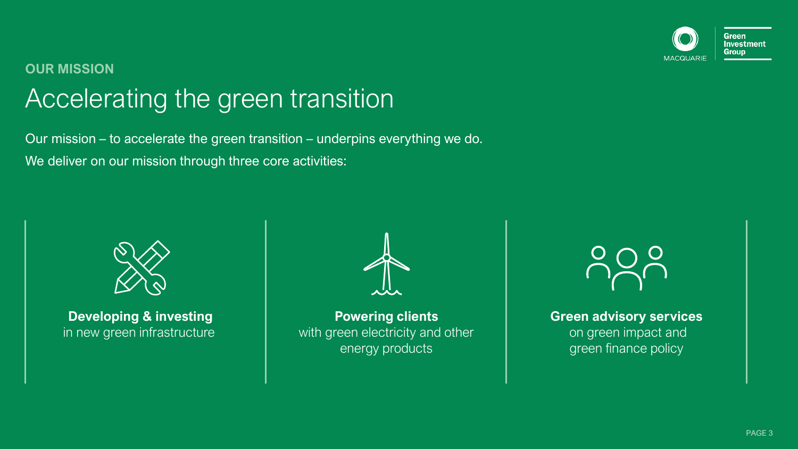

#### Accelerating the green transition **OUR MISSION**

Our mission – to accelerate the green transition – underpins everything we do. We deliver on our mission through three core activities:



**Developing & investing** in new green infrastructure

**Powering clients** with green electricity and other energy products



**Green advisory services** on green impact and green finance policy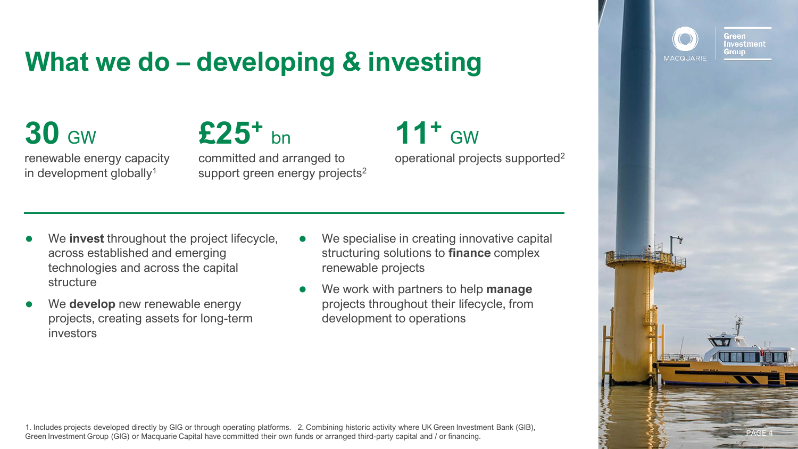### **What we do – developing & investing**

# **30** GW

renewable energy capacity in development globally<sup>1</sup>

**£25<sup>+</sup>** bn committed and arranged to support green energy projects<sup>2</sup>

#### **11<sup>+</sup>** GW operational projects supported<sup>2</sup>

- ⚫ We **invest** throughout the project lifecycle, across established and emerging technologies and across the capital structure
- ⚫ We **develop** new renewable energy projects, creating assets for long-term investors
- ⚫ We specialise in creating innovative capital structuring solutions to **finance** complex renewable projects
- ⚫ We work with partners to help **manage** projects throughout their lifecycle, from development to operations





Green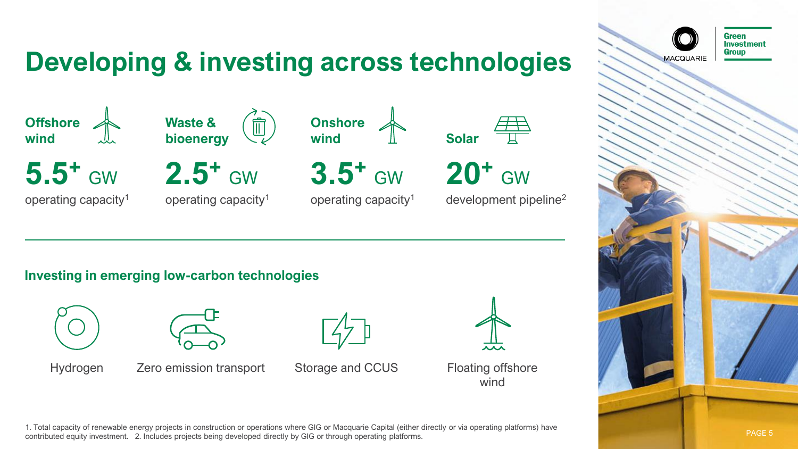### **Developing & investing across technologies**



**5.5<sup>+</sup>** GW

operating capacity<sup>1</sup>



**2.5<sup>+</sup>** GW

operating capacity<sup>1</sup>



**3.5<sup>+</sup>** GW

operating capacity<sup>1</sup>



development pipeline<sup>2</sup>

**Investing in emerging low-carbon technologies**





Hydrogen Zero emission transport Storage and CCUS





Floating offshore wind

1. Total capacity of renewable energy projects in construction or operations where GIG or Macquarie Capital (either directly or via operating platforms) have contributed equity investment. 2. Includes projects being developed directly by GIG or through operating platforms.



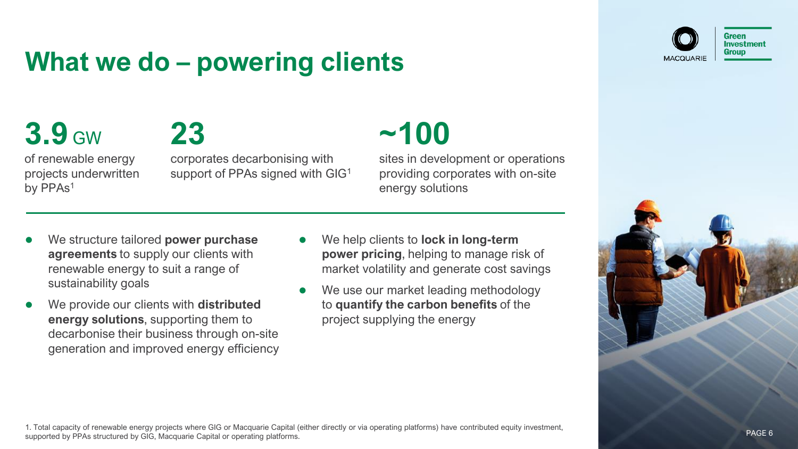### **What we do – powering clients**



# **3.9** GW



of renewable energy projects underwritten by PPAs<sup>1</sup>

corporates decarbonising with support of PPAs signed with GIG<sup>1</sup>

# **~100**

sites in development or operations providing corporates with on-site energy solutions

- ⚫ We structure tailored **power purchase agreements** to supply our clients with renewable energy to suit a range of sustainability goals
- ⚫ We provide our clients with **distributed energy solutions**, supporting them to decarbonise their business through on-site generation and improved energy efficiency
- ⚫ We help clients to **lock in long-term power pricing**, helping to manage risk of market volatility and generate cost savings
- We use our market leading methodology to **quantify the carbon benefits** of the project supplying the energy



1. Total capacity of renewable energy projects where GIG or Macquarie Capital (either directly or via operating platforms) have contributed equity investment, supported by PPAs structured by GIG, Macquarie Capital or operating platforms.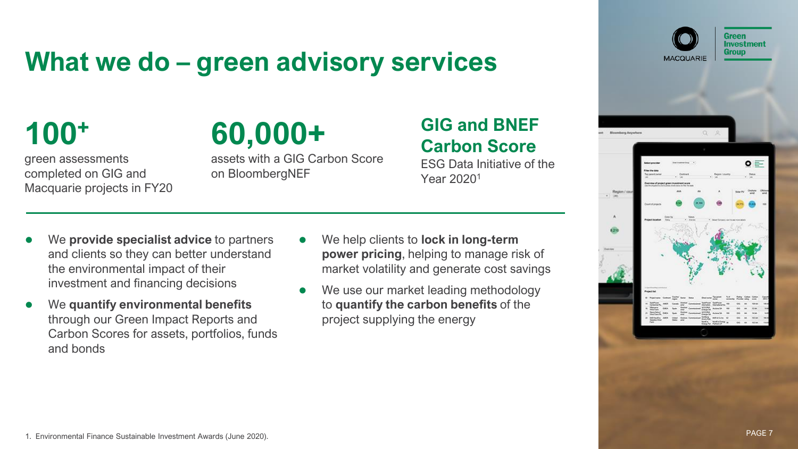#### **What we do – green advisory services**

**100<sup>+</sup>**

green assessments completed on GIG and Macquarie projects in FY20

# **60,000+**

assets with a GIG Carbon Score on BloombergNEF

#### **GIG and BNEF Carbon Score**

ESG Data Initiative of the Year 2020<sup>1</sup>

- ⚫ We **provide specialist advice** to partners and clients so they can better understand the environmental impact of their investment and financing decisions
- ⚫ We **quantify environmental benefits**  through our Green Impact Reports and Carbon Scores for assets, portfolios, funds and bonds
- ⚫ We help clients to **lock in long-term power pricing**, helping to manage risk of market volatility and generate cost savings
- We use our market leading methodology to **quantify the carbon benefits** of the project supplying the energy



**Green**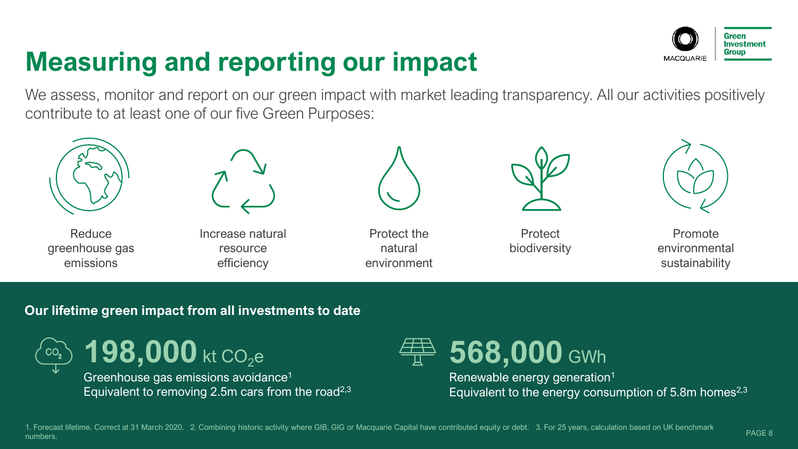### **Measuring and reporting our impact**



We assess, monitor and report on our green impact with market leading transparency. All our activities positively contribute to at least one of our five Green Purposes:



Reduce greenhouse gas emissions



Increase natural resource efficiency

Protect the natural environment



**Protect** biodiversity



Promote environmental sustainability

#### **Our lifetime green impact from all investments to date**

 $198,000$  kt CO<sub>2</sub>e Greenhouse gas emissions avoidance<sup>1</sup> Equivalent to removing 2.5m cars from the road<sup>2,3</sup>



Renewable energy generation<sup>1</sup> Equivalent to the energy consumption of  $5.8$ m homes<sup>2,3</sup>

1. Forecast lifetime. Correct at 31 March 2020. 2. Combining historic activity where GIB, GIG or Macquarie Capital have contributed equity or debt. 3. For 25 years, calculation based on UK benchmark numbers.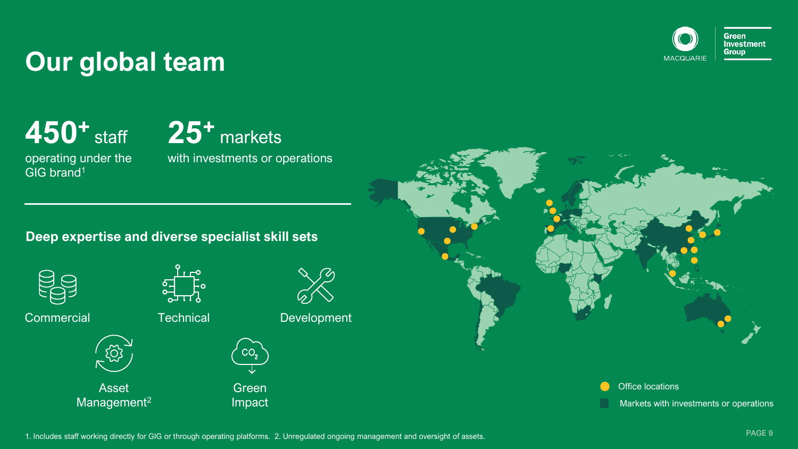

#### **Our global team**

**450<sup>+</sup>** staff operating under the



**Deep expertise and diverse specialist skill sets**



GIG brand<sup>1</sup>



**Technical** 



Asset Management<sup>2</sup>



Commercial **Development** Technical Development



Green



Impact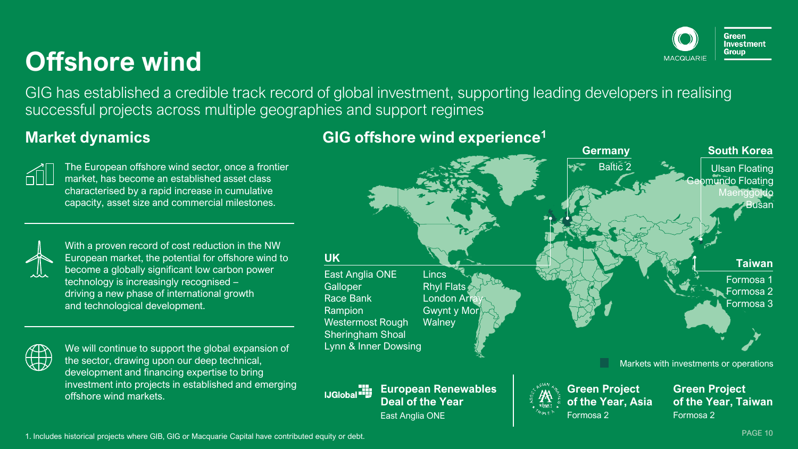### **Offshore wind**

GIG has established a credible track record of global investment, supporting leading developers in realising successful projects across multiple geographies and support regimes



The European offshore wind sector, once a frontier market, has become an established asset class characterised by a rapid increase in cumulative capacity, asset size and commercial milestones.

With a proven record of cost reduction in the NW European market, the potential for offshore wind to become a globally significant low carbon power technology is increasingly recognised – driving a new phase of international growth and technological development.



We will continue to support the global expansion of the sector, drawing upon our deep technical, development and financing expertise to bring investment into projects in established and emerging offshore wind markets.

#### **Market dynamics 1 1 1 CIG** offshore wind experience<sup>1</sup>



Green Investment **Group**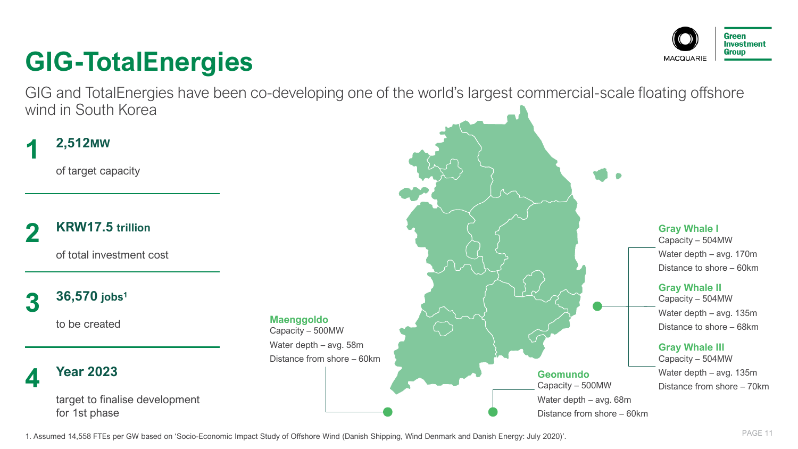### **GIG-TotalEnergies**

GIG and TotalEnergies have been co-developing one of the world's largest commercial-scale floating offshore wind in South Korea

#### **2,512MW 1**

of target capacity

**KRW17.5 trillion 2**

of total investment cost

#### **36,570 jobs<sup>1</sup> 3**

to be created

#### **Year 2023 4**

target to finalise development for 1st phase





Green **Investment** 

1. Assumed 14,558 FTEs per GW based on 'Socio-Economic Impact Study of Offshore Wind (Danish Shipping, Wind Denmark and Danish Energy: July 2020)'.

**Maenggoldo** Capacity – 500MW